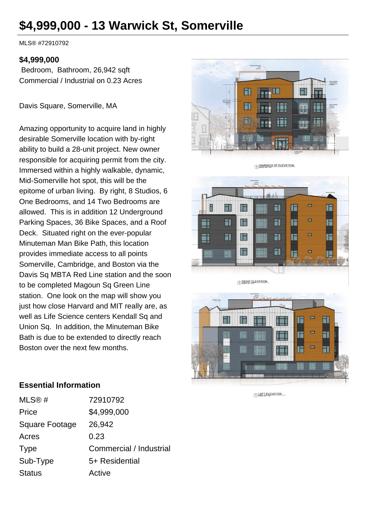# **\$4,999,000 - 13 Warwick St, Somerville**

MLS® #72910792

#### **\$4,999,000**

 Bedroom, Bathroom, 26,942 sqft Commercial / Industrial on 0.23 Acres

Davis Square, Somerville, MA

Amazing opportunity to acquire land in highly desirable Somerville location with by-right ability to build a 28-unit project. New owner responsible for acquiring permit from the city. Immersed within a highly walkable, dynamic, Mid-Somerville hot spot, this will be the epitome of urban living. By right, 8 Studios, 6 One Bedrooms, and 14 Two Bedrooms are allowed. This is in addition 12 Underground Parking Spaces, 36 Bike Spaces, and a Roof Deck. Situated right on the ever-popular Minuteman Man Bike Path, this location provides immediate access to all points Somerville, Cambridge, and Boston via the Davis Sq MBTA Red Line station and the soon to be completed Magoun Sq Green Line station. One look on the map will show you just how close Harvard and MIT really are, as well as Life Science centers Kendall Sq and Union Sq. In addition, the Minuteman Bike Bath is due to be extended to directly reach Boston over the next few months.





1) WARWICK ST ELEVATION

1 RIGHT ELEVATION



1 LEFT ELEVATION

#### **Essential Information**

| MLS@#                 | 72910792                |
|-----------------------|-------------------------|
| Price                 | \$4,999,000             |
| <b>Square Footage</b> | 26,942                  |
| Acres                 | 0.23                    |
| <b>Type</b>           | Commercial / Industrial |
| Sub-Type              | 5+ Residential          |
| <b>Status</b>         | Active                  |